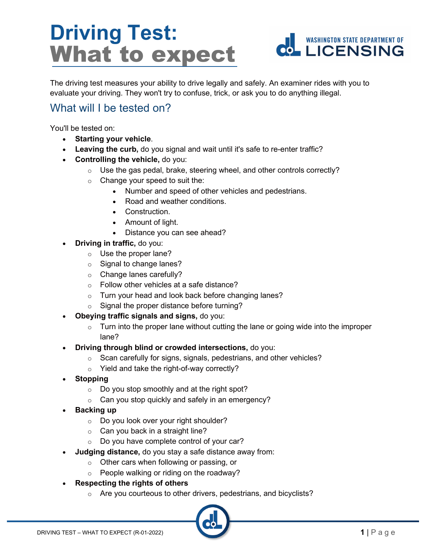# **Driving Test:** What to expect



The driving test measures your ability to drive legally and safely. An examiner rides with you to evaluate your driving. They won't try to confuse, trick, or ask you to do anything illegal.

### What will I be tested on?

You'll be tested on:

- **Starting your vehicle**.
- **Leaving the curb,** do you signal and wait until it's safe to re-enter traffic?
- **Controlling the vehicle,** do you:
	- $\circ$  Use the gas pedal, brake, steering wheel, and other controls correctly?
		- $\circ$  Change your speed to suit the:
			- Number and speed of other vehicles and pedestrians.
			- Road and weather conditions.
			- Construction.
			- Amount of light.
			- Distance you can see ahead?
- **Driving in traffic,** do you:
	- $\circ$  Use the proper lane?
	- o Signal to change lanes?
	- o Change lanes carefully?
	- o Follow other vehicles at a safe distance?
	- o Turn your head and look back before changing lanes?
	- $\circ$  Signal the proper distance before turning?
- **Obeying traffic signals and signs,** do you:
	- $\circ$  Turn into the proper lane without cutting the lane or going wide into the improper lane?
- **Driving through blind or crowded intersections,** do you:
	- $\circ$  Scan carefully for signs, signals, pedestrians, and other vehicles?
	- o Yield and take the right-of-way correctly?
- **Stopping**
	- $\circ$  Do you stop smoothly and at the right spot?
	- $\circ$  Can you stop quickly and safely in an emergency?
- **Backing up**
	- o Do you look over your right shoulder?
	- $\circ$  Can you back in a straight line?
	- o Do you have complete control of your car?
- **Judging distance,** do you stay a safe distance away from:
	- $\circ$  Other cars when following or passing, or
	- $\circ$  People walking or riding on the roadway?
- **Respecting the rights of others**
	- o Are you courteous to other drivers, pedestrians, and bicyclists?